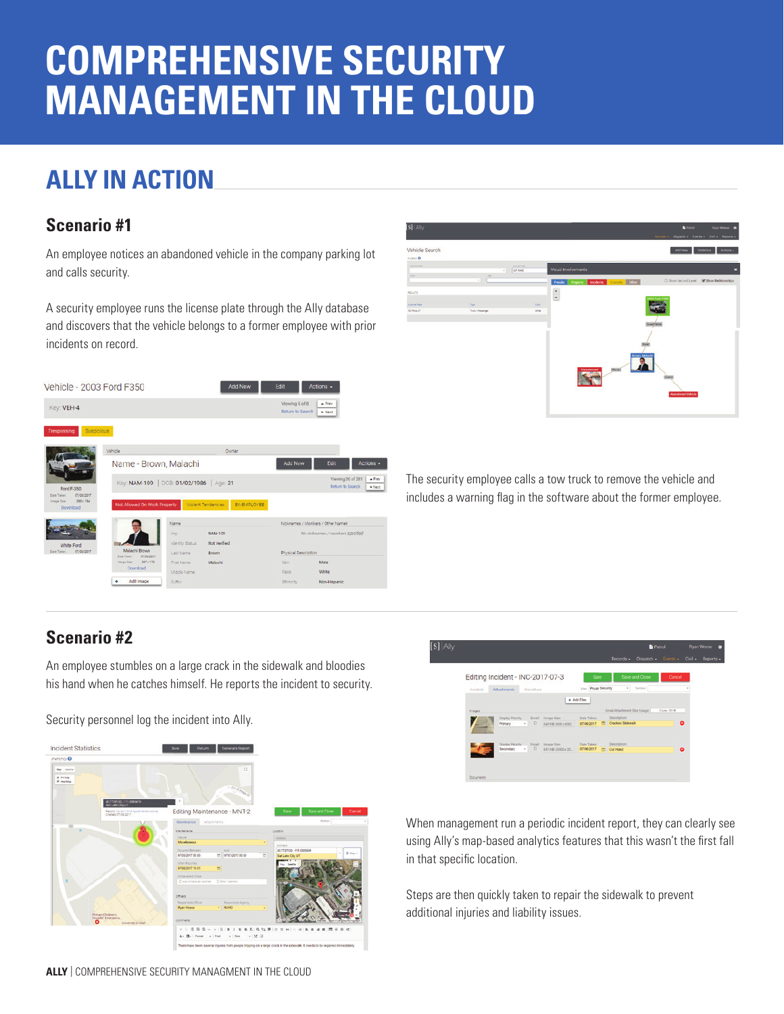# **COMPREHENSIVE SECURITY MANAGEMENT IN THE CLOUD**

## **ALLY IN ACTION**

#### **Scenario #1**

An employee notices an abandoned vehicle in the company parking lot and calls security.

A security employee runs the license plate through the Ally database and discovers that the vehicle belongs to a former employee with prior incidents on record.





The security employee calls a tow truck to remove the vehicle and includes a warning flag in the software about the former employee.

#### **Scenario #2**

An employee stumbles on a large crack in the sidewalk and bloodies his hand when he catches himself. He reports the incident to security.

Security personnel log the incident into Ally.





When management run a periodic incident report, they can clearly see using Ally's map-based analytics features that this wasn't the first fall in that specific location.

Steps are then quickly taken to repair the sidewalk to prevent additional injuries and liability issues.